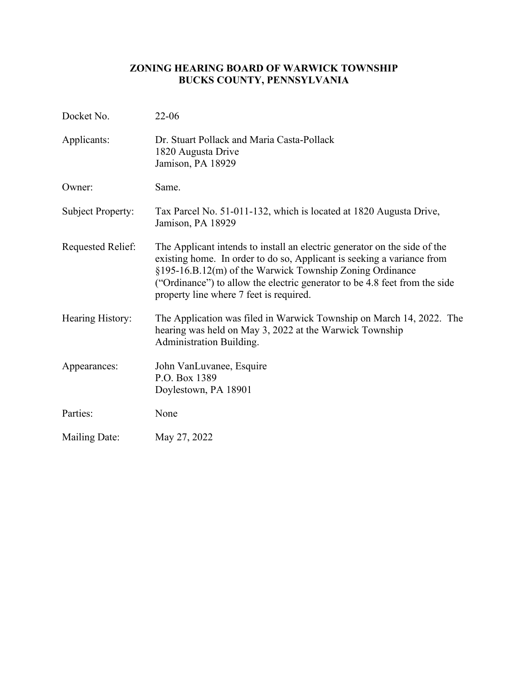# **ZONING HEARING BOARD OF WARWICK TOWNSHIP BUCKS COUNTY, PENNSYLVANIA**

| Docket No.               | $22 - 06$                                                                                                                                                                                                                                                                                                                                |
|--------------------------|------------------------------------------------------------------------------------------------------------------------------------------------------------------------------------------------------------------------------------------------------------------------------------------------------------------------------------------|
| Applicants:              | Dr. Stuart Pollack and Maria Casta-Pollack<br>1820 Augusta Drive<br>Jamison, PA 18929                                                                                                                                                                                                                                                    |
| Owner:                   | Same.                                                                                                                                                                                                                                                                                                                                    |
| Subject Property:        | Tax Parcel No. 51-011-132, which is located at 1820 Augusta Drive,<br>Jamison, PA 18929                                                                                                                                                                                                                                                  |
| <b>Requested Relief:</b> | The Applicant intends to install an electric generator on the side of the<br>existing home. In order to do so, Applicant is seeking a variance from<br>§195-16.B.12(m) of the Warwick Township Zoning Ordinance<br>("Ordinance") to allow the electric generator to be 4.8 feet from the side<br>property line where 7 feet is required. |
| Hearing History:         | The Application was filed in Warwick Township on March 14, 2022. The<br>hearing was held on May 3, 2022 at the Warwick Township<br>Administration Building.                                                                                                                                                                              |
| Appearances:             | John VanLuvanee, Esquire<br>P.O. Box 1389<br>Doylestown, PA 18901                                                                                                                                                                                                                                                                        |
| Parties:                 | None                                                                                                                                                                                                                                                                                                                                     |
| <b>Mailing Date:</b>     | May 27, 2022                                                                                                                                                                                                                                                                                                                             |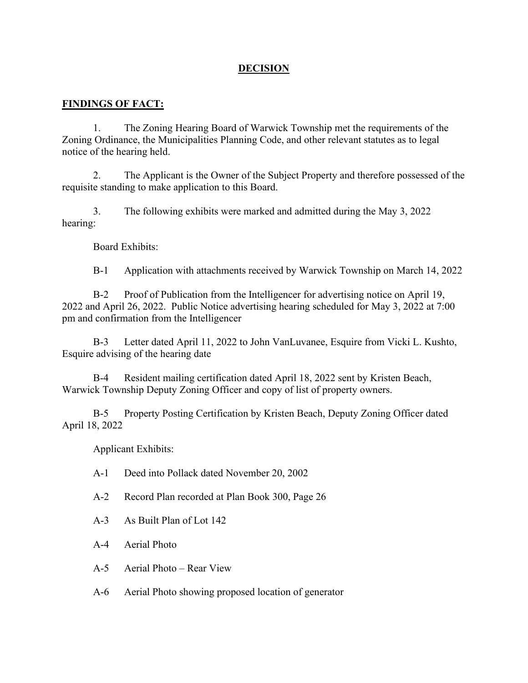### **DECISION**

### **FINDINGS OF FACT:**

1. The Zoning Hearing Board of Warwick Township met the requirements of the Zoning Ordinance, the Municipalities Planning Code, and other relevant statutes as to legal notice of the hearing held.

2. The Applicant is the Owner of the Subject Property and therefore possessed of the requisite standing to make application to this Board.

3. The following exhibits were marked and admitted during the May 3, 2022 hearing:

Board Exhibits:

B-1 Application with attachments received by Warwick Township on March 14, 2022

B-2 Proof of Publication from the Intelligencer for advertising notice on April 19, 2022 and April 26, 2022. Public Notice advertising hearing scheduled for May 3, 2022 at 7:00 pm and confirmation from the Intelligencer

B-3 Letter dated April 11, 2022 to John VanLuvanee, Esquire from Vicki L. Kushto, Esquire advising of the hearing date

B-4 Resident mailing certification dated April 18, 2022 sent by Kristen Beach, Warwick Township Deputy Zoning Officer and copy of list of property owners.

B-5 Property Posting Certification by Kristen Beach, Deputy Zoning Officer dated April 18, 2022

Applicant Exhibits:

- A-1 Deed into Pollack dated November 20, 2002
- A-2 Record Plan recorded at Plan Book 300, Page 26
- A-3 As Built Plan of Lot 142
- A-4 Aerial Photo
- A-5 Aerial Photo Rear View

A-6 Aerial Photo showing proposed location of generator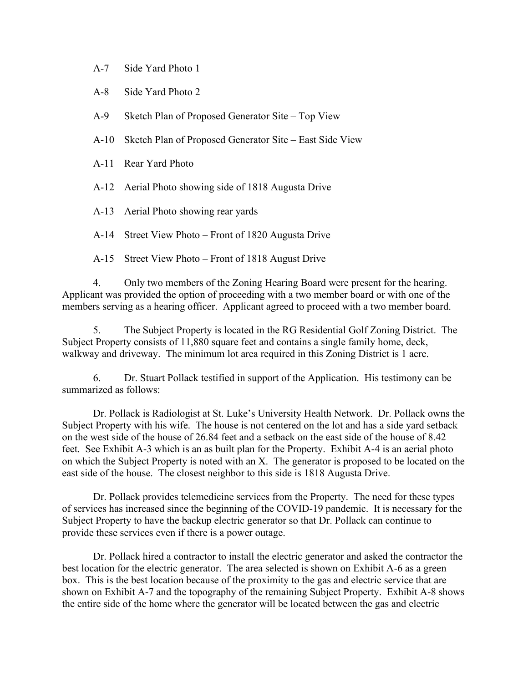- A-7 Side Yard Photo 1
- A-8 Side Yard Photo 2
- A-9 Sketch Plan of Proposed Generator Site Top View
- A-10 Sketch Plan of Proposed Generator Site East Side View
- A-11 Rear Yard Photo
- A-12 Aerial Photo showing side of 1818 Augusta Drive
- A-13 Aerial Photo showing rear yards

A-14 Street View Photo – Front of 1820 Augusta Drive

A-15 Street View Photo – Front of 1818 August Drive

4. Only two members of the Zoning Hearing Board were present for the hearing. Applicant was provided the option of proceeding with a two member board or with one of the members serving as a hearing officer. Applicant agreed to proceed with a two member board.

5. The Subject Property is located in the RG Residential Golf Zoning District. The Subject Property consists of 11,880 square feet and contains a single family home, deck, walkway and driveway. The minimum lot area required in this Zoning District is 1 acre.

6. Dr. Stuart Pollack testified in support of the Application. His testimony can be summarized as follows:

Dr. Pollack is Radiologist at St. Luke's University Health Network. Dr. Pollack owns the Subject Property with his wife. The house is not centered on the lot and has a side yard setback on the west side of the house of 26.84 feet and a setback on the east side of the house of 8.42 feet. See Exhibit A-3 which is an as built plan for the Property. Exhibit A-4 is an aerial photo on which the Subject Property is noted with an X. The generator is proposed to be located on the east side of the house. The closest neighbor to this side is 1818 Augusta Drive.

Dr. Pollack provides telemedicine services from the Property. The need for these types of services has increased since the beginning of the COVID-19 pandemic. It is necessary for the Subject Property to have the backup electric generator so that Dr. Pollack can continue to provide these services even if there is a power outage.

Dr. Pollack hired a contractor to install the electric generator and asked the contractor the best location for the electric generator. The area selected is shown on Exhibit A-6 as a green box. This is the best location because of the proximity to the gas and electric service that are shown on Exhibit A-7 and the topography of the remaining Subject Property. Exhibit A-8 shows the entire side of the home where the generator will be located between the gas and electric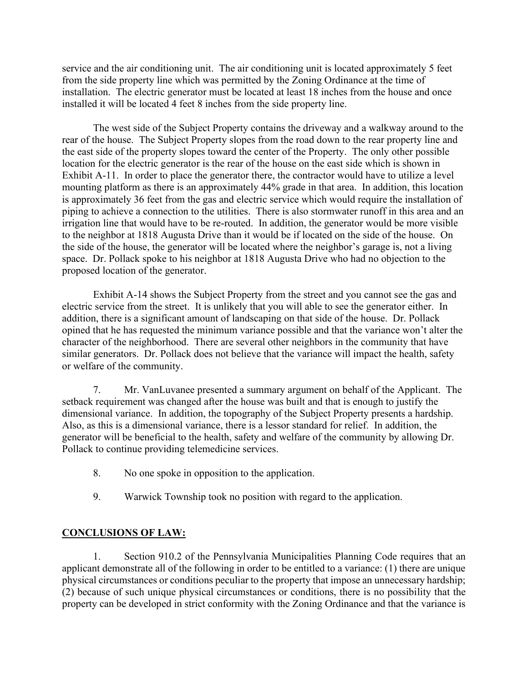service and the air conditioning unit. The air conditioning unit is located approximately 5 feet from the side property line which was permitted by the Zoning Ordinance at the time of installation. The electric generator must be located at least 18 inches from the house and once installed it will be located 4 feet 8 inches from the side property line.

The west side of the Subject Property contains the driveway and a walkway around to the rear of the house. The Subject Property slopes from the road down to the rear property line and the east side of the property slopes toward the center of the Property. The only other possible location for the electric generator is the rear of the house on the east side which is shown in Exhibit A-11. In order to place the generator there, the contractor would have to utilize a level mounting platform as there is an approximately 44% grade in that area. In addition, this location is approximately 36 feet from the gas and electric service which would require the installation of piping to achieve a connection to the utilities. There is also stormwater runoff in this area and an irrigation line that would have to be re-routed. In addition, the generator would be more visible to the neighbor at 1818 Augusta Drive than it would be if located on the side of the house. On the side of the house, the generator will be located where the neighbor's garage is, not a living space. Dr. Pollack spoke to his neighbor at 1818 Augusta Drive who had no objection to the proposed location of the generator.

Exhibit A-14 shows the Subject Property from the street and you cannot see the gas and electric service from the street. It is unlikely that you will able to see the generator either. In addition, there is a significant amount of landscaping on that side of the house. Dr. Pollack opined that he has requested the minimum variance possible and that the variance won't alter the character of the neighborhood. There are several other neighbors in the community that have similar generators. Dr. Pollack does not believe that the variance will impact the health, safety or welfare of the community.

7. Mr. VanLuvanee presented a summary argument on behalf of the Applicant. The setback requirement was changed after the house was built and that is enough to justify the dimensional variance. In addition, the topography of the Subject Property presents a hardship. Also, as this is a dimensional variance, there is a lessor standard for relief. In addition, the generator will be beneficial to the health, safety and welfare of the community by allowing Dr. Pollack to continue providing telemedicine services.

- 8. No one spoke in opposition to the application.
- 9. Warwick Township took no position with regard to the application.

## **CONCLUSIONS OF LAW:**

1. Section 910.2 of the Pennsylvania Municipalities Planning Code requires that an applicant demonstrate all of the following in order to be entitled to a variance: (1) there are unique physical circumstances or conditions peculiar to the property that impose an unnecessary hardship; (2) because of such unique physical circumstances or conditions, there is no possibility that the property can be developed in strict conformity with the Zoning Ordinance and that the variance is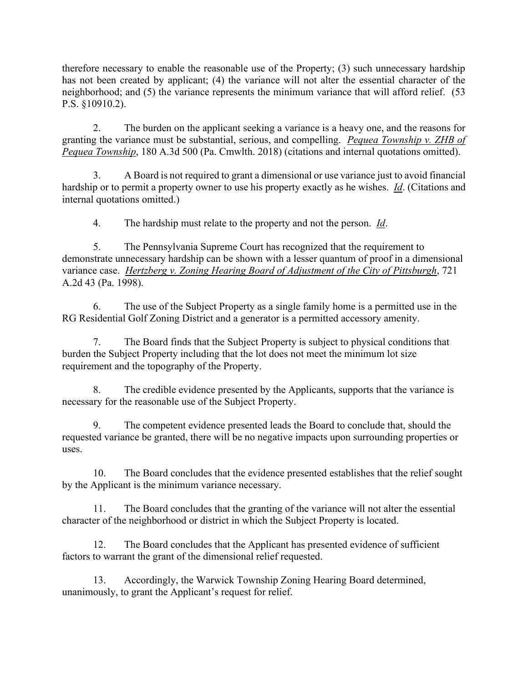therefore necessary to enable the reasonable use of the Property; (3) such unnecessary hardship has not been created by applicant; (4) the variance will not alter the essential character of the neighborhood; and (5) the variance represents the minimum variance that will afford relief. (53 P.S. §10910.2).

2. The burden on the applicant seeking a variance is a heavy one, and the reasons for granting the variance must be substantial, serious, and compelling. *Pequea Township v. ZHB of Pequea Township*, 180 A.3d 500 (Pa. Cmwlth. 2018) (citations and internal quotations omitted).

3. A Board is not required to grant a dimensional or use variance just to avoid financial hardship or to permit a property owner to use his property exactly as he wishes. *Id*. (Citations and internal quotations omitted.)

4. The hardship must relate to the property and not the person. *Id*.

5. The Pennsylvania Supreme Court has recognized that the requirement to demonstrate unnecessary hardship can be shown with a lesser quantum of proof in a dimensional variance case. *Hertzberg v. Zoning Hearing Board of Adjustment of the City of Pittsburgh*, 721 A.2d 43 (Pa. 1998).

6. The use of the Subject Property as a single family home is a permitted use in the RG Residential Golf Zoning District and a generator is a permitted accessory amenity.

7. The Board finds that the Subject Property is subject to physical conditions that burden the Subject Property including that the lot does not meet the minimum lot size requirement and the topography of the Property.

8. The credible evidence presented by the Applicants, supports that the variance is necessary for the reasonable use of the Subject Property.

9. The competent evidence presented leads the Board to conclude that, should the requested variance be granted, there will be no negative impacts upon surrounding properties or uses.

10. The Board concludes that the evidence presented establishes that the relief sought by the Applicant is the minimum variance necessary.

11. The Board concludes that the granting of the variance will not alter the essential character of the neighborhood or district in which the Subject Property is located.

12. The Board concludes that the Applicant has presented evidence of sufficient factors to warrant the grant of the dimensional relief requested.

13. Accordingly, the Warwick Township Zoning Hearing Board determined, unanimously, to grant the Applicant's request for relief.